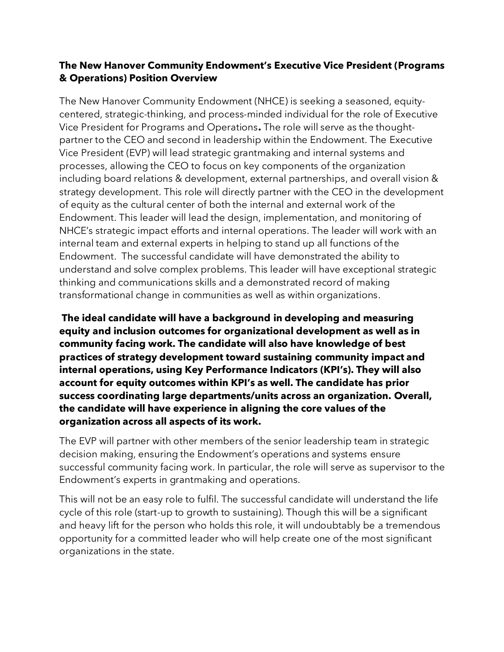## **The New Hanover Community Endowment's Executive Vice President (Programs & Operations) Position Overview**

The New Hanover Community Endowment (NHCE) is seeking a seasoned, equitycentered, strategic-thinking, and process-minded individual for the role of Executive Vice President for Programs and Operations**.** The role will serve as the thoughtpartner to the CEO and second in leadership within the Endowment. The Executive Vice President (EVP) will lead strategic grantmaking and internal systems and processes, allowing the CEO to focus on key components of the organization including board relations & development, external partnerships, and overall vision & strategy development. This role will directly partner with the CEO in the development of equity as the cultural center of both the internal and external work of the Endowment. This leader will lead the design, implementation, and monitoring of NHCE's strategic impact efforts and internal operations. The leader will work with an internal team and external experts in helping to stand up all functions of the Endowment. The successful candidate will have demonstrated the ability to understand and solve complex problems. This leader will have exceptional strategic thinking and communications skills and a demonstrated record of making transformational change in communities as well as within organizations.

**The ideal candidate will have a background in developing and measuring equity and inclusion outcomes for organizational development as well as in community facing work. The candidate will also have knowledge of best practices of strategy development toward sustaining community impact and internal operations, using Key Performance Indicators (KPI's). They will also account for equity outcomes within KPI's as well. The candidate has prior success coordinating large departments/units across an organization. Overall, the candidate will have experience in aligning the core values of the organization across all aspects of its work.**

The EVP will partner with other members of the senior leadership team in strategic decision making, ensuring the Endowment's operations and systems ensure successful community facing work. In particular, the role will serve as supervisor to the Endowment's experts in grantmaking and operations.

This will not be an easy role to fulfil. The successful candidate will understand the life cycle of this role (start-up to growth to sustaining). Though this will be a significant and heavy lift for the person who holds this role, it will undoubtably be a tremendous opportunity for a committed leader who will help create one of the most significant organizations in the state.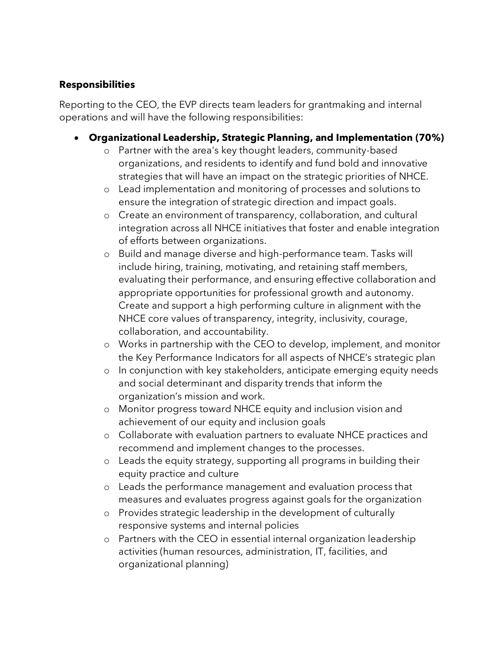## **Responsibilities**

Reporting to the CEO, the EVP directs team leaders for grantmaking and internal operations and will have the following responsibilities:

- **Organizational Leadership, Strategic Planning, and Implementation (70%)**
	- o Partner with the area's key thought leaders, community-based organizations, and residents to identify and fund bold and innovative strategies that will have an impact on the strategic priorities of NHCE.
	- o Lead implementation and monitoring of processes and solutions to ensure the integration of strategic direction and impact goals.
	- o Create an environment of transparency, collaboration, and cultural integration across all NHCE initiatives that foster and enable integration of efforts between organizations.
	- o Build and manage diverse and high-performance team. Tasks will include hiring, training, motivating, and retaining staff members, evaluating their performance, and ensuring effective collaboration and appropriate opportunities for professional growth and autonomy. Create and support a high performing culture in alignment with the NHCE core values of transparency, integrity, inclusivity, courage, collaboration, and accountability.
	- o Works in partnership with the CEO to develop, implement, and monitor the Key Performance Indicators for all aspects of NHCE's strategic plan
	- o In conjunction with key stakeholders, anticipate emerging equity needs and social determinant and disparity trends that inform the organization's mission and work.
	- o Monitor progress toward NHCE equity and inclusion vision and achievement of our equity and inclusion goals
	- o Collaborate with evaluation partners to evaluate NHCE practices and recommend and implement changes to the processes.
	- o Leads the equity strategy, supporting all programs in building their equity practice and culture
	- o Leads the performance management and evaluation process that measures and evaluates progress against goals for the organization
	- o Provides strategic leadership in the development of culturally responsive systems and internal policies
	- o Partners with the CEO in essential internal organization leadership activities (human resources, administration, IT, facilities, and organizational planning)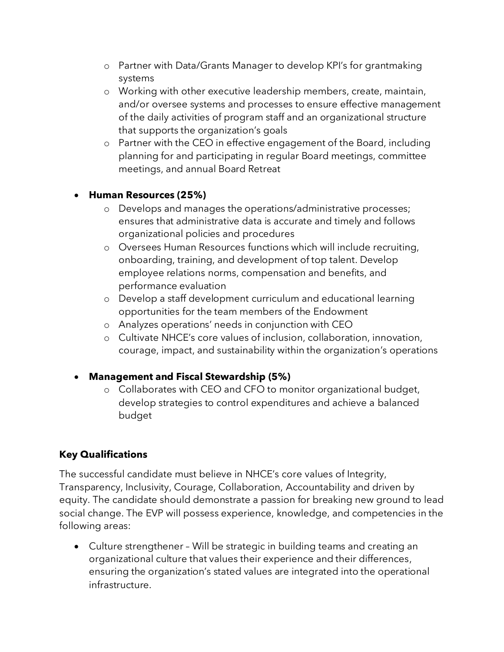- o Partner with Data/Grants Manager to develop KPI's for grantmaking systems
- o Working with other executive leadership members, create, maintain, and/or oversee systems and processes to ensure effective management of the daily activities of program staff and an organizational structure that supports the organization's goals
- o Partner with the CEO in effective engagement of the Board, including planning for and participating in regular Board meetings, committee meetings, and annual Board Retreat

## • **Human Resources (25%)**

- o Develops and manages the operations/administrative processes; ensures that administrative data is accurate and timely and follows organizational policies and procedures
- o Oversees Human Resources functions which will include recruiting, onboarding, training, and development of top talent. Develop employee relations norms, compensation and benefits, and performance evaluation
- o Develop a staff development curriculum and educational learning opportunities for the team members of the Endowment
- o Analyzes operations' needs in conjunction with CEO
- o Cultivate NHCE's core values of inclusion, collaboration, innovation, courage, impact, and sustainability within the organization's operations
- **Management and Fiscal Stewardship (5%)**
	- o Collaborates with CEO and CFO to monitor organizational budget, develop strategies to control expenditures and achieve a balanced budget

## **Key Qualifications**

The successful candidate must believe in NHCE's core values of Integrity, Transparency, Inclusivity, Courage, Collaboration, Accountability and driven by equity. The candidate should demonstrate a passion for breaking new ground to lead social change. The EVP will possess experience, knowledge, and competencies in the following areas:

• Culture strengthener – Will be strategic in building teams and creating an organizational culture that values their experience and their differences, ensuring the organization's stated values are integrated into the operational infrastructure.